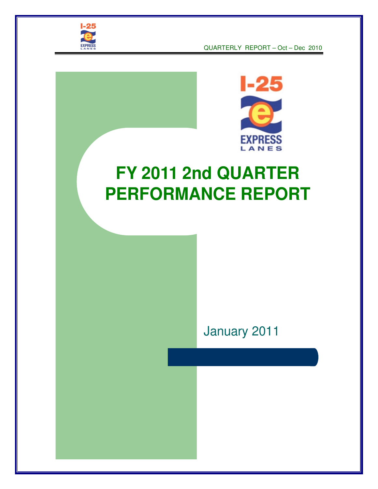

QUARTERLY REPORT – Oct – Dec 2010



# **FY 2011 2nd QUARTER PERFORMANCE REPORT**

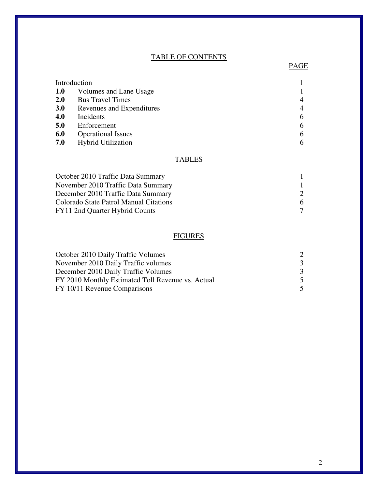#### TABLE OF CONTENTS

PAGE PAGE

| Introduction |                           |                |
|--------------|---------------------------|----------------|
| <b>1.0</b>   | Volumes and Lane Usage    |                |
| <b>2.0</b>   | <b>Bus Travel Times</b>   | $\overline{4}$ |
| <b>3.0</b>   | Revenues and Expenditures | 4              |
| 4.0          | Incidents                 | 6              |
| 5.0          | Enforcement               | 6              |
| 6.0          | <b>Operational Issues</b> | 6              |
| 7.0          | Hybrid Utilization        | 6              |

#### **TABLES**

| October 2010 Traffic Data Summary      |                             |
|----------------------------------------|-----------------------------|
| November 2010 Traffic Data Summary     |                             |
| December 2010 Traffic Data Summary     | $\mathcal{D}_{\mathcal{L}}$ |
| Colorado State Patrol Manual Citations | 6                           |
| FY11 2nd Quarter Hybrid Counts         |                             |

## **FIGURES**

| October 2010 Daily Traffic Volumes                |   |
|---------------------------------------------------|---|
| November 2010 Daily Traffic volumes               | 3 |
| December 2010 Daily Traffic Volumes               | 3 |
| FY 2010 Monthly Estimated Toll Revenue vs. Actual | 5 |
| FY 10/11 Revenue Comparisons                      | 5 |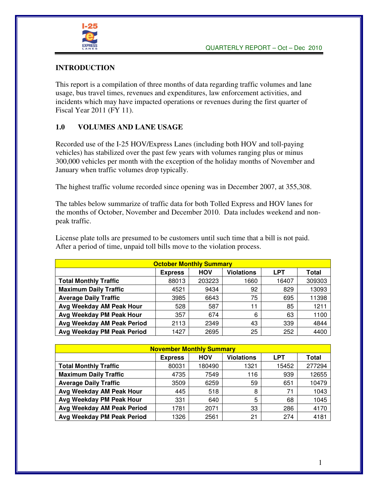

#### **INTRODUCTION**

This report is a compilation of three months of data regarding traffic volumes and lane usage, bus travel times, revenues and expenditures, law enforcement activities, and incidents which may have impacted operations or revenues during the first quarter of Fiscal Year 2011 (FY 11).

#### **1.0 VOLUMES AND LANE USAGE**

Recorded use of the I-25 HOV/Express Lanes (including both HOV and toll-paying vehicles) has stabilized over the past few years with volumes ranging plus or minus 300,000 vehicles per month with the exception of the holiday months of November and January when traffic volumes drop typically.

The highest traffic volume recorded since opening was in December 2007, at 355,308.

The tables below summarize of traffic data for both Tolled Express and HOV lanes for the months of October, November and December 2010. Data includes weekend and nonpeak traffic.

License plate tolls are presumed to be customers until such time that a bill is not paid. After a period of time, unpaid toll bills move to the violation process.

| <b>October Monthly Summary</b>                                           |       |        |      |       |        |  |  |  |  |  |
|--------------------------------------------------------------------------|-------|--------|------|-------|--------|--|--|--|--|--|
| <b>Violations</b><br><b>LPT</b><br><b>HOV</b><br>Total<br><b>Express</b> |       |        |      |       |        |  |  |  |  |  |
| <b>Total Monthly Traffic</b>                                             | 88013 | 203223 | 1660 | 16407 | 309303 |  |  |  |  |  |
| <b>Maximum Daily Traffic</b>                                             | 4521  | 9434   | 92   | 829   | 13093  |  |  |  |  |  |
| <b>Average Daily Traffic</b>                                             | 3985  | 6643   | 75   | 695   | 11398  |  |  |  |  |  |
| Avg Weekday AM Peak Hour                                                 | 528   | 587    | 11   | 85    | 1211   |  |  |  |  |  |
| Avg Weekday PM Peak Hour                                                 | 357   | 674    | 6    | 63    | 1100   |  |  |  |  |  |
| Avg Weekday AM Peak Period                                               | 2113  | 2349   | 43   | 339   | 4844   |  |  |  |  |  |
| Avg Weekday PM Peak Period                                               | 1427  | 2695   | 25   | 252   | 4400   |  |  |  |  |  |

| <b>November Monthly Summary</b>                                          |       |        |      |       |        |  |  |  |  |
|--------------------------------------------------------------------------|-------|--------|------|-------|--------|--|--|--|--|
| <b>Violations</b><br><b>HOV</b><br><b>LPT</b><br>Total<br><b>Express</b> |       |        |      |       |        |  |  |  |  |
| <b>Total Monthly Traffic</b>                                             | 80031 | 180490 | 1321 | 15452 | 277294 |  |  |  |  |
| <b>Maximum Daily Traffic</b>                                             | 4735  | 7549   | 116  | 939   | 12655  |  |  |  |  |
| <b>Average Daily Traffic</b>                                             | 3509  | 6259   | 59   | 651   | 10479  |  |  |  |  |
| Avg Weekday AM Peak Hour                                                 | 445   | 518    | 8    | 71    | 1043   |  |  |  |  |
| Avg Weekday PM Peak Hour                                                 | 331   | 640    | 5    | 68    | 1045   |  |  |  |  |
| Avg Weekday AM Peak Period                                               | 1781  | 2071   | 33   | 286   | 4170   |  |  |  |  |
| Avg Weekday PM Peak Period                                               | 1326  | 2561   | 21   | 274   | 4181   |  |  |  |  |

1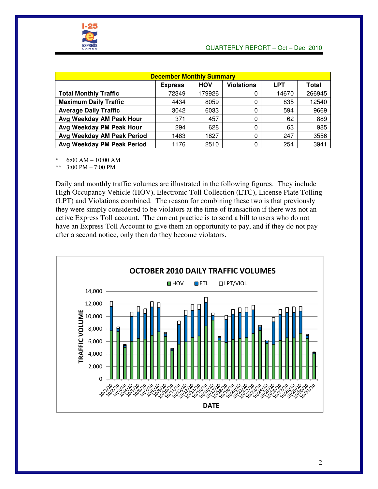

| <b>December Monthly Summary</b>                                          |       |        |          |       |        |  |  |  |  |  |
|--------------------------------------------------------------------------|-------|--------|----------|-------|--------|--|--|--|--|--|
| <b>Violations</b><br><b>HOV</b><br><b>LPT</b><br><b>Express</b><br>Total |       |        |          |       |        |  |  |  |  |  |
| <b>Total Monthly Traffic</b>                                             | 72349 | 179926 |          | 14670 | 266945 |  |  |  |  |  |
| <b>Maximum Daily Traffic</b>                                             | 4434  | 8059   | 0        | 835   | 12540  |  |  |  |  |  |
| <b>Average Daily Traffic</b>                                             | 3042  | 6033   | 0        | 594   | 9669   |  |  |  |  |  |
| Avg Weekday AM Peak Hour                                                 | 371   | 457    | 0        | 62    | 889    |  |  |  |  |  |
| Avg Weekday PM Peak Hour                                                 | 294   | 628    | $\Omega$ | 63    | 985    |  |  |  |  |  |
| Avg Weekday AM Peak Period                                               | 1483  | 1827   | 0        | 247   | 3556   |  |  |  |  |  |
| Avg Weekday PM Peak Period                                               | 1176  | 2510   | 0        | 254   | 3941   |  |  |  |  |  |

\* 6:00 AM – 10:00 AM

\*\* 3:00 PM – 7:00 PM

Daily and monthly traffic volumes are illustrated in the following figures. They include High Occupancy Vehicle (HOV), Electronic Toll Collection (ETC), License Plate Tolling (LPT) and Violations combined. The reason for combining these two is that previously they were simply considered to be violators at the time of transaction if there was not an active Express Toll account. The current practice is to send a bill to users who do not have an Express Toll Account to give them an opportunity to pay, and if they do not pay after a second notice, only then do they become violators.

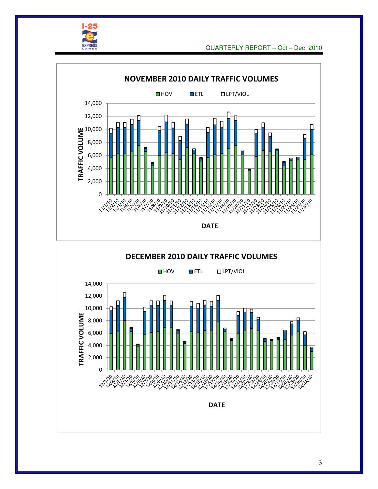

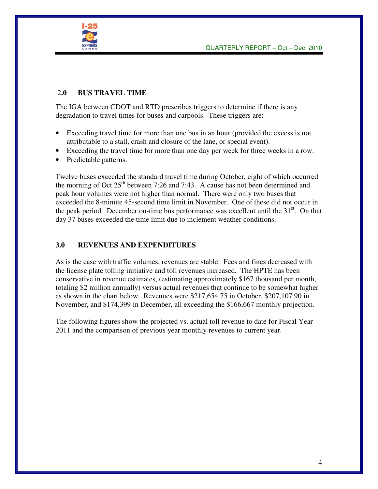

#### 2**.0 BUS TRAVEL TIME**

The IGA between CDOT and RTD prescribes triggers to determine if there is any degradation to travel times for buses and carpools. These triggers are:

- Exceeding travel time for more than one bus in an hour (provided the excess is not attributable to a stall, crash and closure of the lane, or special event).
- Exceeding the travel time for more than one day per week for three weeks in a row.
- Predictable patterns.

Twelve buses exceeded the standard travel time during October, eight of which occurred the morning of Oct  $25<sup>th</sup>$  between 7:26 and 7:43. A cause has not been determined and peak hour volumes were not higher than normal. There were only two buses that exceeded the 8-minute 45-second time limit in November. One of these did not occur in the peak period. December on-time bus performance was excellent until the  $31<sup>st</sup>$ . On that day 37 buses exceeded the time limit due to inclement weather conditions.

#### **3.0 REVENUES AND EXPENDITURES**

As is the case with traffic volumes, revenues are stable. Fees and fines decreased with the license plate tolling initiative and toll revenues increased. The HPTE has been conservative in revenue estimates, (estimating approximately \$167 thousand per month, totaling \$2 million annually) versus actual revenues that continue to be somewhat higher as shown in the chart below. Revenues were \$217,654.75 in October, \$207,107.90 in November, and \$174,399 in December, all exceeding the \$166,667 monthly projection.

The following figures show the projected vs. actual toll revenue to date for Fiscal Year 2011 and the comparison of previous year monthly revenues to current year.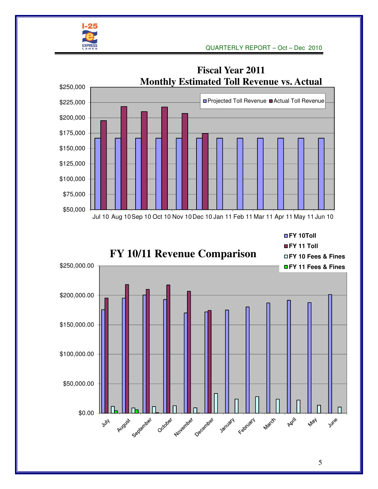



5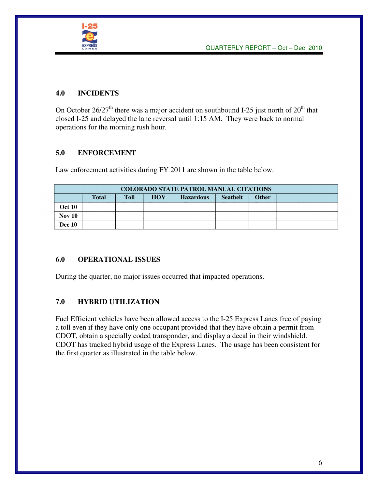

#### **4.0 INCIDENTS**

On October  $26/27<sup>th</sup>$  there was a major accident on southbound I-25 just north of  $20<sup>th</sup>$  that closed I-25 and delayed the lane reversal until 1:15 AM. They were back to normal operations for the morning rush hour.

#### **5.0 ENFORCEMENT**

Law enforcement activities during FY 2011 are shown in the table below.

| <b>COLORADO STATE PATROL MANUAL CITATIONS</b> |              |             |            |                  |                 |              |  |  |  |
|-----------------------------------------------|--------------|-------------|------------|------------------|-----------------|--------------|--|--|--|
|                                               | <b>Total</b> | <b>Toll</b> | <b>HOV</b> | <b>Hazardous</b> | <b>Seathelt</b> | <b>Other</b> |  |  |  |
| <b>Oct 10</b>                                 |              |             |            |                  |                 |              |  |  |  |
| <b>Nov 10</b>                                 |              |             |            |                  |                 |              |  |  |  |
| <b>Dec</b> 10                                 |              |             |            |                  |                 |              |  |  |  |

#### **6.0 OPERATIONAL ISSUES**

During the quarter, no major issues occurred that impacted operations.

#### **7.0 HYBRID UTILIZATION**

Fuel Efficient vehicles have been allowed access to the I-25 Express Lanes free of paying a toll even if they have only one occupant provided that they have obtain a permit from CDOT, obtain a specially coded transponder, and display a decal in their windshield. CDOT has tracked hybrid usage of the Express Lanes. The usage has been consistent for the first quarter as illustrated in the table below.